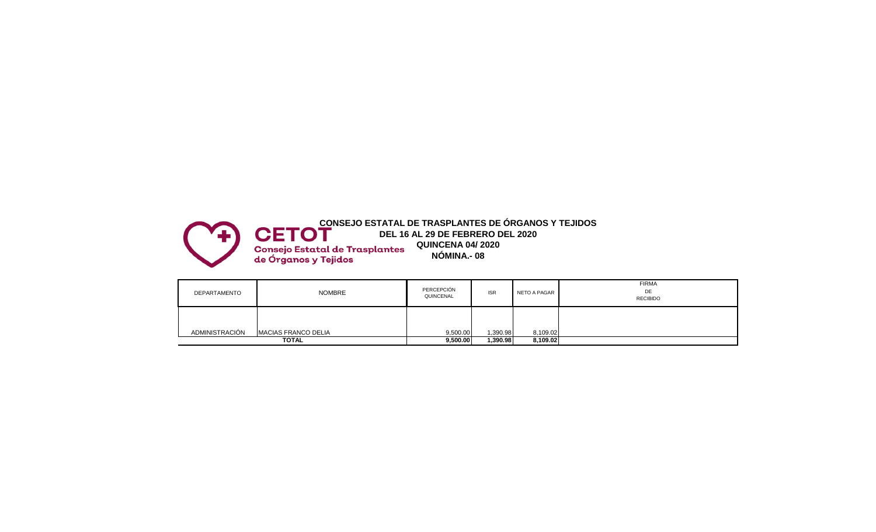

| DEPARTAMENTO   | <b>NOMBRE</b>              | PERCEPCIÓN<br>QUINCENAL | <b>ISR</b> | NETO A PAGAR | <b>FIRMA</b><br>DE<br><b>RECIBIDO</b> |
|----------------|----------------------------|-------------------------|------------|--------------|---------------------------------------|
| ADMINISTRACIÓN | <b>MACIAS FRANCO DELIA</b> | 9,500.00                | 1,390.98   | 8,109.02     |                                       |
|                | TOTAL                      | 9,500.00                | 1,390.98   | 8,109.02     |                                       |